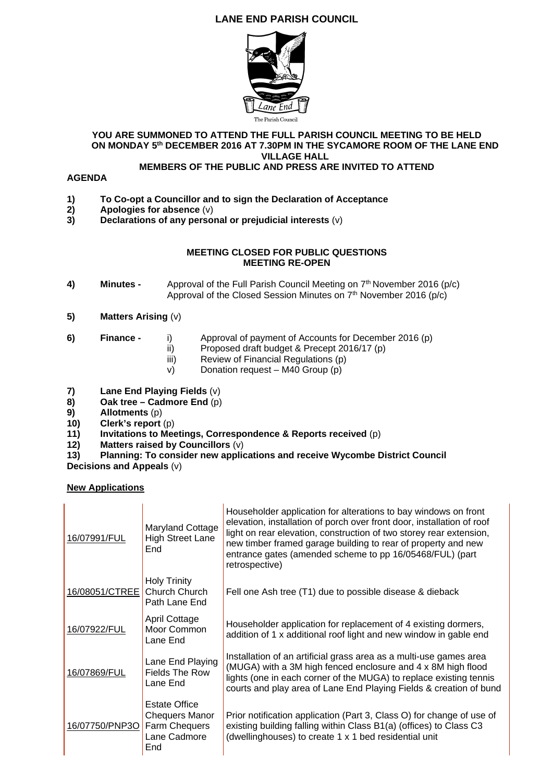# **LANE END PARISH COUNCIL**



#### **YOU ARE SUMMONED TO ATTEND THE FULL PARISH COUNCIL MEETING TO BE HELD ON MONDAY 5th DECEMBER 2016 AT 7.30PM IN THE SYCAMORE ROOM OF THE LANE END VILLAGE HALL**

## **MEMBERS OF THE PUBLIC AND PRESS ARE INVITED TO ATTEND**

### **AGENDA**

- **1) To Co-opt a Councillor and to sign the Declaration of Acceptance**
- **2)** Apologies for absence (v)<br>**3)** Declarations of any persor
- **3) Declarations of any personal or prejudicial interests** (v)

### **MEETING CLOSED FOR PUBLIC QUESTIONS MEETING RE-OPEN**

- 4) Minutes Approval of the Full Parish Council Meeting on 7<sup>th</sup> November 2016 (p/c) Approval of the Closed Session Minutes on 7<sup>th</sup> November 2016 (p/c)
- **5) Matters Arising** (v)
- 
- **6) Finance** i) Approval of payment of Accounts for December 2016 (p)
	- ii) Proposed draft budget & Precept 2016/17 (p)
	- iii) Review of Financial Regulations (p)
	- v) Donation request M40 Group (p)
- **7) Lane End Playing Fields** (v)
- **8)** Oak tree Cadmore End (p)<br>**9)** Allotments (p)
- **9) Allotments** (p)
- **10)** Clerk's report (p)<br>**11)** Invitations to Mee
- **11)** Invitations to Meetings, Correspondence & Reports received (p) <br>**12) Matters raised by Councillors** (v)
- **12) Matters raised by Councillors** (v)
- **13) Planning: To consider new applications and receive Wycombe District Council**
- **Decisions and Appeals** (v)

**New Applications** 

| 16/07991/FUL   | Maryland Cottage<br><b>High Street Lane</b><br>End                                    | Householder application for alterations to bay windows on front<br>elevation, installation of porch over front door, installation of roof<br>light on rear elevation, construction of two storey rear extension,<br>new timber framed garage building to rear of property and new<br>entrance gates (amended scheme to pp 16/05468/FUL) (part<br>retrospective) |
|----------------|---------------------------------------------------------------------------------------|-----------------------------------------------------------------------------------------------------------------------------------------------------------------------------------------------------------------------------------------------------------------------------------------------------------------------------------------------------------------|
| 16/08051/CTREE | <b>Holy Trinity</b><br>Church Church<br>Path Lane End                                 | Fell one Ash tree (T1) due to possible disease & dieback                                                                                                                                                                                                                                                                                                        |
| 16/07922/FUL   | April Cottage<br>Moor Common<br>Lane End                                              | Householder application for replacement of 4 existing dormers,<br>addition of 1 x additional roof light and new window in gable end                                                                                                                                                                                                                             |
| 16/07869/FUL   | Lane End Playing<br><b>Fields The Row</b><br>Lane End                                 | Installation of an artificial grass area as a multi-use games area<br>(MUGA) with a 3M high fenced enclosure and 4 x 8M high flood<br>lights (one in each corner of the MUGA) to replace existing tennis<br>courts and play area of Lane End Playing Fields & creation of bund                                                                                  |
| 16/07750/PNP3O | <b>Estate Office</b><br><b>Chequers Manor</b><br>Farm Chequers<br>Lane Cadmore<br>End | Prior notification application (Part 3, Class O) for change of use of<br>existing building falling within Class B1(a) (offices) to Class C3<br>(dwellinghouses) to create 1 x 1 bed residential unit                                                                                                                                                            |